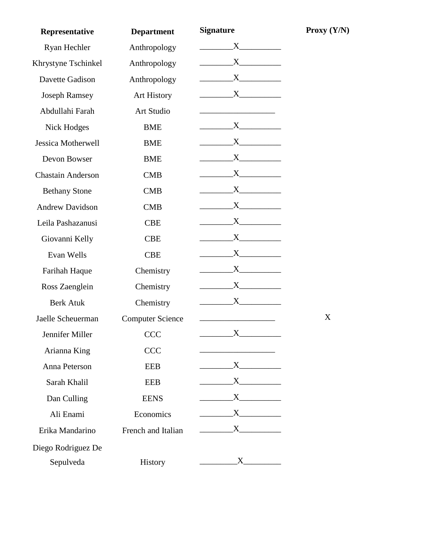| Representative           | <b>Department</b>       | <b>Signature</b>                                                                                                                                                                                                                                                                                 | <b>Proxy</b> |
|--------------------------|-------------------------|--------------------------------------------------------------------------------------------------------------------------------------------------------------------------------------------------------------------------------------------------------------------------------------------------|--------------|
| Ryan Hechler             | Anthropology            | X                                                                                                                                                                                                                                                                                                |              |
| Khrystyne Tschinkel      | Anthropology            |                                                                                                                                                                                                                                                                                                  |              |
| Davette Gadison          | Anthropology            |                                                                                                                                                                                                                                                                                                  |              |
| <b>Joseph Ramsey</b>     | <b>Art History</b>      |                                                                                                                                                                                                                                                                                                  |              |
| Abdullahi Farah          | Art Studio              |                                                                                                                                                                                                                                                                                                  |              |
| <b>Nick Hodges</b>       | <b>BME</b>              |                                                                                                                                                                                                                                                                                                  |              |
| Jessica Motherwell       | <b>BME</b>              |                                                                                                                                                                                                                                                                                                  |              |
| Devon Bowser             | <b>BME</b>              |                                                                                                                                                                                                                                                                                                  |              |
| <b>Chastain Anderson</b> | <b>CMB</b>              |                                                                                                                                                                                                                                                                                                  |              |
| <b>Bethany Stone</b>     | <b>CMB</b>              | $X$ and $X$                                                                                                                                                                                                                                                                                      |              |
| <b>Andrew Davidson</b>   | <b>CMB</b>              | $X \sim$                                                                                                                                                                                                                                                                                         |              |
| Leila Pashazanusi        | <b>CBE</b>              | $X \sim$                                                                                                                                                                                                                                                                                         |              |
| Giovanni Kelly           | <b>CBE</b>              |                                                                                                                                                                                                                                                                                                  |              |
| Evan Wells               | <b>CBE</b>              |                                                                                                                                                                                                                                                                                                  |              |
| Farihah Haque            | Chemistry               |                                                                                                                                                                                                                                                                                                  |              |
| Ross Zaenglein           | Chemistry               |                                                                                                                                                                                                                                                                                                  |              |
| <b>Berk Atuk</b>         | Chemistry               |                                                                                                                                                                                                                                                                                                  |              |
| Jaelle Scheuerman        | <b>Computer Science</b> |                                                                                                                                                                                                                                                                                                  | X            |
| Jennifer Miller          | <b>CCC</b>              | X                                                                                                                                                                                                                                                                                                |              |
| Arianna King             | <b>CCC</b>              |                                                                                                                                                                                                                                                                                                  |              |
| Anna Peterson            | <b>EEB</b>              | $\begin{array}{c} \begin{array}{c} \text{X} \end{array} \end{array}$                                                                                                                                                                                                                             |              |
| Sarah Khalil             | <b>EEB</b>              | $\begin{array}{c}\nX\n\end{array}$                                                                                                                                                                                                                                                               |              |
| Dan Culling              | <b>EENS</b>             | $\mathbf{X}$ and $\mathbf{X}$ and $\mathbf{X}$ and $\mathbf{X}$ and $\mathbf{X}$ and $\mathbf{X}$ and $\mathbf{X}$ and $\mathbf{X}$ and $\mathbf{X}$ and $\mathbf{X}$ and $\mathbf{X}$ and $\mathbf{X}$ and $\mathbf{X}$ and $\mathbf{X}$ and $\mathbf{X}$ and $\mathbf{X}$ and $\mathbf{X}$ and |              |
| Ali Enami                | Economics               |                                                                                                                                                                                                                                                                                                  |              |
| Erika Mandarino          | French and Italian      | $\begin{array}{c}\nX\n\end{array}$                                                                                                                                                                                                                                                               |              |
| Diego Rodriguez De       |                         |                                                                                                                                                                                                                                                                                                  |              |
| Sepulveda                |                         |                                                                                                                                                                                                                                                                                                  |              |

**Proxy**  $(Y/N)$